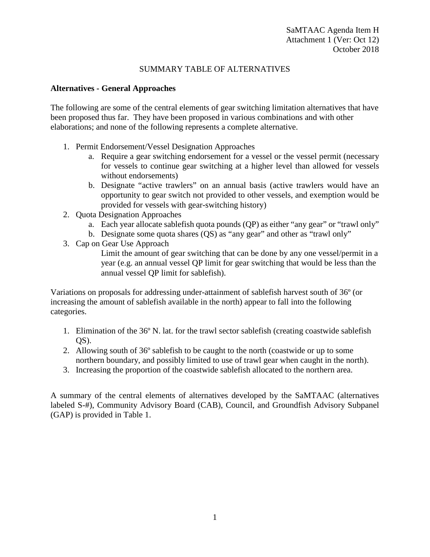## SUMMARY TABLE OF ALTERNATIVES

## **Alternatives - General Approaches**

The following are some of the central elements of gear switching limitation alternatives that have been proposed thus far. They have been proposed in various combinations and with other elaborations; and none of the following represents a complete alternative.

- 1. Permit Endorsement/Vessel Designation Approaches
	- a. Require a gear switching endorsement for a vessel or the vessel permit (necessary for vessels to continue gear switching at a higher level than allowed for vessels without endorsements)
	- b. Designate "active trawlers" on an annual basis (active trawlers would have an opportunity to gear switch not provided to other vessels, and exemption would be provided for vessels with gear-switching history)
- 2. Quota Designation Approaches
	- a. Each year allocate sablefish quota pounds (QP) as either "any gear" or "trawl only"
	- b. Designate some quota shares (QS) as "any gear" and other as "trawl only"

3. Cap on Gear Use Approach

Limit the amount of gear switching that can be done by any one vessel/permit in a year (e.g. an annual vessel QP limit for gear switching that would be less than the annual vessel QP limit for sablefish).

Variations on proposals for addressing under-attainment of sablefish harvest south of 36º (or increasing the amount of sablefish available in the north) appear to fall into the following categories.

- 1. Elimination of the 36º N. lat. for the trawl sector sablefish (creating coastwide sablefish  $OS$ ).
- 2. Allowing south of 36º sablefish to be caught to the north (coastwide or up to some northern boundary, and possibly limited to use of trawl gear when caught in the north).
- 3. Increasing the proportion of the coastwide sablefish allocated to the northern area.

A summary of the central elements of alternatives developed by the SaMTAAC (alternatives labeled S-#), Community Advisory Board (CAB), Council, and Groundfish Advisory Subpanel (GAP) is provided in [Table 1.](#page-1-0)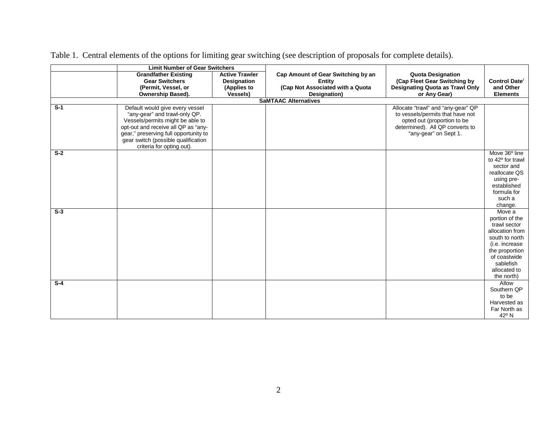<span id="page-1-0"></span>

|       | <b>Limit Number of Gear Switchers</b>                                                                                                                                                                                                                    |                                                                               |                                                                                                         |                                                                                                                                                                   |                                                                                                                                                                              |
|-------|----------------------------------------------------------------------------------------------------------------------------------------------------------------------------------------------------------------------------------------------------------|-------------------------------------------------------------------------------|---------------------------------------------------------------------------------------------------------|-------------------------------------------------------------------------------------------------------------------------------------------------------------------|------------------------------------------------------------------------------------------------------------------------------------------------------------------------------|
|       | <b>Grandfather Existing</b><br><b>Gear Switchers</b><br>(Permit, Vessel, or<br>Ownership Based).                                                                                                                                                         | <b>Active Trawler</b><br><b>Designation</b><br>(Applies to<br><b>Vessels)</b> | Cap Amount of Gear Switching by an<br><b>Entity</b><br>(Cap Not Associated with a Quota<br>Designation) | <b>Quota Designation</b><br>(Cap Fleet Gear Switching by<br><b>Designating Quota as Trawl Only</b><br>or Any Gear)                                                | <b>Control Date</b><br>and Other<br><b>Elements</b>                                                                                                                          |
|       |                                                                                                                                                                                                                                                          |                                                                               | <b>SaMTAAC Alternatives</b>                                                                             |                                                                                                                                                                   |                                                                                                                                                                              |
| $S-1$ | Default would give every vessel<br>"any-gear" and trawl-only QP.<br>Vessels/permits might be able to<br>opt-out and receive all QP as "any-<br>gear," preserving full opportunity to<br>gear switch (possible qualification<br>criteria for opting out). |                                                                               |                                                                                                         | Allocate "trawl" and "any-gear" QP<br>to vessels/permits that have not<br>opted out (proportion to be<br>determined). All QP converts to<br>"any-gear" on Sept 1. |                                                                                                                                                                              |
| $S-2$ |                                                                                                                                                                                                                                                          |                                                                               |                                                                                                         |                                                                                                                                                                   | Move 36 <sup>°</sup> line<br>to 42° for trawl<br>sector and<br>reallocate QS<br>using pre-<br>established<br>formula for<br>such a<br>change.                                |
| $S-3$ |                                                                                                                                                                                                                                                          |                                                                               |                                                                                                         |                                                                                                                                                                   | Move a<br>portion of the<br>trawl sector<br>allocation from<br>south to north<br>(i.e. increase<br>the proportion<br>of coastwide<br>sablefish<br>allocated to<br>the north) |
| $S-4$ |                                                                                                                                                                                                                                                          |                                                                               |                                                                                                         |                                                                                                                                                                   | Allow<br>Southern QP<br>to be<br>Harvested as<br>Far North as<br>42° N                                                                                                       |

Table 1. Central elements of the options for limiting gear switching (see description of proposals for complete details).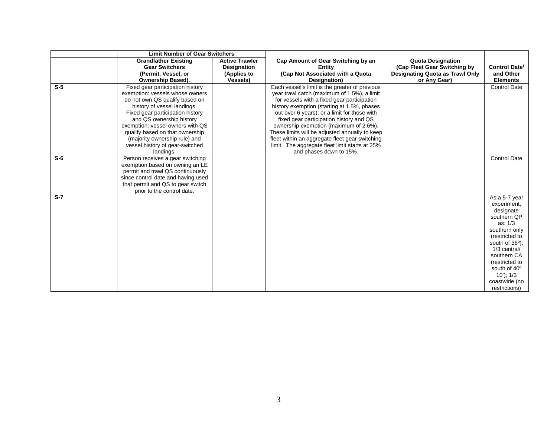| <b>Limit Number of Gear Switchers</b>                                                                                  |                                 |
|------------------------------------------------------------------------------------------------------------------------|---------------------------------|
| <b>Active Trawler</b><br><b>Grandfather Existing</b><br>Cap Amount of Gear Switching by an<br><b>Quota Designation</b> |                                 |
| <b>Gear Switchers</b><br>(Cap Fleet Gear Switching by<br><b>Entity</b><br><b>Designation</b>                           | Control Date <sup>i</sup>       |
| (Cap Not Associated with a Quota<br><b>Designating Quota as Trawl Only</b><br>(Permit, Vessel, or<br>(Applies to       | and Other                       |
| Ownership Based).<br><b>Vessels)</b><br>or Any Gear)<br>Designation)                                                   | <b>Elements</b>                 |
| $S-5$<br>Each vessel's limit is the greater of previous<br>Fixed gear participation history                            | Control Date                    |
| exemption: vessels whose owners<br>year trawl catch (maximum of 1.5%), a limit                                         |                                 |
| do not own QS qualify based on<br>for vessels with a fixed gear participation                                          |                                 |
| history of vessel landings.<br>history exemption (starting at 1.5%, phases                                             |                                 |
| Fixed gear participation history<br>out over 6 years), or a limit for those with                                       |                                 |
| and QS ownership history<br>fixed gear participation history and QS                                                    |                                 |
| exemption: vessel owners with QS<br>ownership exemption (maximum of 2.6%).                                             |                                 |
| qualify based on that ownership<br>These limits will be adjusted annually to keep                                      |                                 |
| (majority ownership rule) and<br>fleet within an aggregate fleet gear switching                                        |                                 |
| vessel history of gear-switched<br>limit. The aggregate fleet limit starts at 25%                                      |                                 |
| and phases down to 15%.<br>landings.                                                                                   |                                 |
| $S-6$<br>Person receives a gear switching                                                                              | <b>Control Date</b>             |
| exemption based on owning an LE                                                                                        |                                 |
| permit and trawl QS continuously                                                                                       |                                 |
| since control date and having used                                                                                     |                                 |
| that permit and QS to gear switch                                                                                      |                                 |
| prior to the control date.                                                                                             |                                 |
| $S-7$                                                                                                                  | As a 5-7 year                   |
|                                                                                                                        | experiment,                     |
|                                                                                                                        | designate                       |
|                                                                                                                        | southern QP<br>as: 1/3          |
|                                                                                                                        |                                 |
|                                                                                                                        | southern only<br>(restricted to |
|                                                                                                                        | south of $36^\circ$ );          |
|                                                                                                                        | 1/3 central/                    |
|                                                                                                                        | southern CA                     |
|                                                                                                                        | (restricted to                  |
|                                                                                                                        | south of 40°                    |
|                                                                                                                        | $10$ '); $1/3$                  |
|                                                                                                                        | coastwide (no                   |
|                                                                                                                        | restrictions)                   |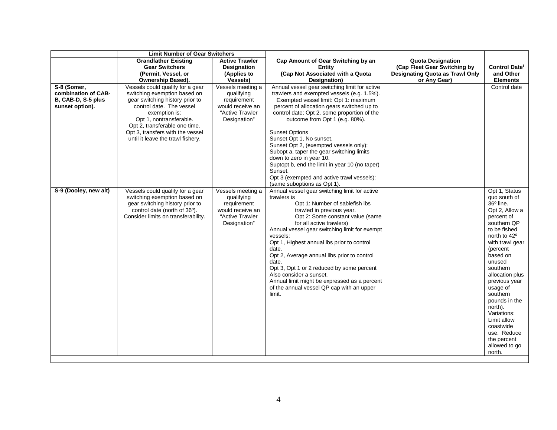|                                                                             | <b>Limit Number of Gear Switchers</b>                                                                                                                                                                                                                                                 |                                                                                                       |                                                                                                                                                                                                                                                                                                                                                                                                                                                                                                                                                                                       |                                                                                                                    |                                                                                                                                                                                                                                                                                                                                                                                                             |
|-----------------------------------------------------------------------------|---------------------------------------------------------------------------------------------------------------------------------------------------------------------------------------------------------------------------------------------------------------------------------------|-------------------------------------------------------------------------------------------------------|---------------------------------------------------------------------------------------------------------------------------------------------------------------------------------------------------------------------------------------------------------------------------------------------------------------------------------------------------------------------------------------------------------------------------------------------------------------------------------------------------------------------------------------------------------------------------------------|--------------------------------------------------------------------------------------------------------------------|-------------------------------------------------------------------------------------------------------------------------------------------------------------------------------------------------------------------------------------------------------------------------------------------------------------------------------------------------------------------------------------------------------------|
|                                                                             | <b>Grandfather Existing</b><br><b>Gear Switchers</b><br>(Permit, Vessel, or<br>Ownership Based).                                                                                                                                                                                      | <b>Active Trawler</b><br><b>Designation</b><br>(Applies to<br><b>Vessels)</b>                         | Cap Amount of Gear Switching by an<br>Entity<br>(Cap Not Associated with a Quota<br>Designation)                                                                                                                                                                                                                                                                                                                                                                                                                                                                                      | <b>Quota Designation</b><br>(Cap Fleet Gear Switching by<br><b>Designating Quota as Trawl Only</b><br>or Any Gear) | Control Date <sup>i</sup><br>and Other<br><b>Elements</b>                                                                                                                                                                                                                                                                                                                                                   |
| S-8 (Somer,<br>combination of CAB-<br>B, CAB-D, S-5 plus<br>sunset option). | Vessels could qualify for a gear<br>switching exemption based on<br>gear switching history prior to<br>control date. The vessel<br>exemption is:<br>Opt 1, nontransferable.<br>Opt 2, transferable one time.<br>Opt 3, transfers with the vessel<br>until it leave the trawl fishery. | Vessels meeting a<br>qualifying<br>requirement<br>would receive an<br>"Active Trawler<br>Designation" | Annual vessel gear switching limit for active<br>trawlers and exempted vessels (e.g. 1.5%).<br>Exempted vessel limit: Opt 1: maximum<br>percent of allocation gears switched up to<br>control date; Opt 2, some proportion of the<br>outcome from Opt 1 (e.g. 80%).<br><b>Sunset Options</b><br>Sunset Opt 1, No sunset.<br>Sunset Opt 2, (exempted vessels only):<br>Subopt a, taper the gear switching limits<br>down to zero in year 10.<br>Suptopt b, end the limit in year 10 (no taper)<br>Sunset.<br>Opt 3 (exempted and active trawl vessels):<br>(same suboptions as Opt 1). |                                                                                                                    | Control date                                                                                                                                                                                                                                                                                                                                                                                                |
| S-9 (Dooley, new alt)                                                       | Vessels could qualify for a gear<br>switching exemption based on<br>gear switching history prior to<br>control date (north of 36°).<br>Consider limits on transferability.                                                                                                            | Vessels meeting a<br>qualifying<br>requirement<br>would receive an<br>"Active Trawler<br>Designation" | Annual vessel gear switching limit for active<br>trawlers is<br>Opt 1: Number of sablefish lbs<br>trawled in previous year.<br>Opt 2: Some constant value (same<br>for all active trawlers)<br>Annual vessel gear switching limit for exempt<br>vessels:<br>Opt 1, Highest annual lbs prior to control<br>date.<br>Opt 2, Average annual llbs prior to control<br>date.<br>Opt 3, Opt 1 or 2 reduced by some percent<br>Also consider a sunset.<br>Annual limit might be expressed as a percent<br>of the annual vessel QP cap with an upper<br>limit.                                |                                                                                                                    | Opt 1, Status<br>quo south of<br>$36^{\circ}$ line.<br>Opt 2, Allow a<br>percent of<br>southern QP<br>to be fished<br>north to 42 <sup>o</sup><br>with trawl gear<br>(percent<br>based on<br>unused<br>southern<br>allocation plus<br>previous year<br>usage of<br>southern<br>pounds in the<br>north).<br>Variations:<br>Limit allow<br>coastwide<br>use. Reduce<br>the percent<br>allowed to go<br>north. |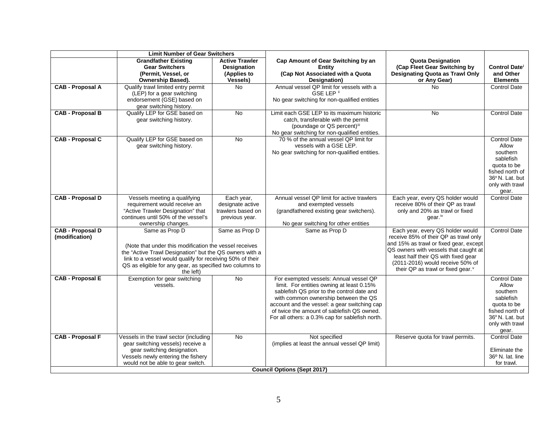|                                    | <b>Limit Number of Gear Switchers</b>                     |                       |                                                 |                                        |                                   |  |
|------------------------------------|-----------------------------------------------------------|-----------------------|-------------------------------------------------|----------------------------------------|-----------------------------------|--|
|                                    | <b>Grandfather Existing</b>                               | <b>Active Trawler</b> | Cap Amount of Gear Switching by an              | <b>Quota Designation</b>               |                                   |  |
|                                    | <b>Gear Switchers</b>                                     | <b>Designation</b>    | Entity                                          | (Cap Fleet Gear Switching by           | Control Date <sup>i</sup>         |  |
|                                    | (Permit, Vessel, or                                       | (Applies to           | (Cap Not Associated with a Quota                | <b>Designating Quota as Trawl Only</b> | and Other                         |  |
|                                    | Ownership Based).                                         | Vessels)              | Designation)                                    | or Any Gear)                           | <b>Elements</b>                   |  |
| <b>CAB - Proposal A</b>            | Qualify trawl limited entry permit                        | <b>No</b>             | Annual vessel QP limit for vessels with a       | No                                     | <b>Control Date</b>               |  |
|                                    | (LEP) for a gear switching                                |                       | GSE LEP <sup>ii</sup>                           |                                        |                                   |  |
|                                    | endorsement (GSE) based on                                |                       | No gear switching for non-qualified entities    |                                        |                                   |  |
|                                    | gear switching history.                                   |                       |                                                 |                                        |                                   |  |
| <b>CAB - Proposal B</b>            | Qualify LEP for GSE based on                              | No                    | Limit each GSE LEP to its maximum historic      | <b>No</b>                              | <b>Control Date</b>               |  |
|                                    | gear switching history.                                   |                       | catch, transferable with the permit             |                                        |                                   |  |
|                                    |                                                           |                       | (poundage or QS percent)iii                     |                                        |                                   |  |
|                                    |                                                           |                       | No gear switching for non-qualified entities.   |                                        |                                   |  |
| <b>CAB - Proposal C</b>            | Qualify LEP for GSE based on                              | $\overline{N}$        | 70 % of the annual vessel QP limit for          |                                        | <b>Control Date</b>               |  |
|                                    | gear switching history.                                   |                       | vessels with a GSE LEP.                         |                                        | Allow                             |  |
|                                    |                                                           |                       | No gear switching for non-qualified entities.   |                                        | southern                          |  |
|                                    |                                                           |                       |                                                 |                                        | sablefish                         |  |
|                                    |                                                           |                       |                                                 |                                        | quota to be                       |  |
|                                    |                                                           |                       |                                                 |                                        | fished north of<br>36°N. Lat. but |  |
|                                    |                                                           |                       |                                                 |                                        | only with trawl                   |  |
|                                    |                                                           |                       |                                                 |                                        | gear.                             |  |
| <b>CAB - Proposal D</b>            | Vessels meeting a qualifying                              | Each year,            | Annual vessel QP limit for active trawlers      | Each year, every QS holder would       | <b>Control Date</b>               |  |
|                                    | requirement would receive an                              | designate active      | and exempted vessels                            | receive 80% of their QP as trawl       |                                   |  |
|                                    | "Active Trawler Designation" that                         | trawlers based on     | (grandfathered existing gear switchers).        | only and 20% as trawl or fixed         |                                   |  |
|                                    | continues until 50% of the vessel's                       | previous year.        |                                                 | gear. <sup>iv</sup>                    |                                   |  |
|                                    | ownership changes.                                        |                       | No gear switching for other entities            |                                        |                                   |  |
| <b>CAB - Proposal D</b>            | Same as Prop D                                            | Same as Prop D        | Same as Prop D                                  | Each year, every QS holder would       | <b>Control Date</b>               |  |
| (modification)                     |                                                           |                       |                                                 | receive 85% of their QP as trawl only  |                                   |  |
|                                    | (Note that under this modification the vessel receives    |                       |                                                 | and 15% as trawl or fixed gear, except |                                   |  |
|                                    | the "Active Trawl Designation" but the QS owners with a   |                       |                                                 | QS owners with vessels that caught at  |                                   |  |
|                                    | link to a vessel would qualify for receiving 50% of their |                       |                                                 | least half their QS with fixed gear    |                                   |  |
|                                    | QS as eligible for any gear, as specified two columns to  |                       |                                                 | (2011-2016) would receive 50% of       |                                   |  |
|                                    | the left)                                                 |                       |                                                 | their QP as trawl or fixed gear. v     |                                   |  |
| <b>CAB - Proposal E</b>            | Exemption for gear switching                              | <b>No</b>             | For exempted vessels: Annual vessel QP          |                                        | <b>Control Date</b>               |  |
|                                    | vessels.                                                  |                       | limit. For entities owning at least 0.15%       |                                        | Allow                             |  |
|                                    |                                                           |                       | sablefish QS prior to the control date and      |                                        | southern                          |  |
|                                    |                                                           |                       | with common ownership between the QS            |                                        | sablefish                         |  |
|                                    |                                                           |                       | account and the vessel: a gear switching cap    |                                        | quota to be                       |  |
|                                    |                                                           |                       | of twice the amount of sablefish QS owned.      |                                        | fished north of                   |  |
|                                    |                                                           |                       | For all others: a 0.3% cap for sablefish north. |                                        | 36°N. Lat. but                    |  |
|                                    |                                                           |                       |                                                 |                                        | only with trawl                   |  |
|                                    |                                                           |                       |                                                 |                                        | gear.                             |  |
| <b>CAB - Proposal F</b>            | Vessels in the trawl sector (including                    | No.                   | Not specified                                   | Reserve quota for trawl permits.       | <b>Control Date</b>               |  |
|                                    | gear switching vessels) receive a                         |                       | (implies at least the annual vessel QP limit)   |                                        |                                   |  |
|                                    | gear switching designation.                               |                       |                                                 |                                        | Eliminate the                     |  |
|                                    | Vessels newly entering the fishery                        |                       |                                                 |                                        | $36^{\circ}$ N. lat. line         |  |
|                                    | would not be able to gear switch.                         |                       |                                                 |                                        | for trawl.                        |  |
| <b>Council Options (Sept 2017)</b> |                                                           |                       |                                                 |                                        |                                   |  |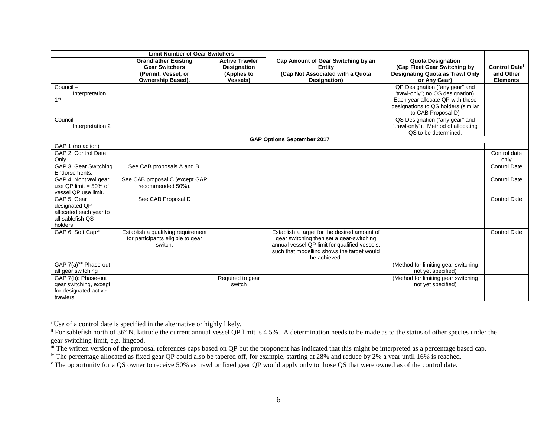<span id="page-5-4"></span><span id="page-5-3"></span><span id="page-5-2"></span><span id="page-5-1"></span><span id="page-5-0"></span>

|                                                                                       | <b>Limit Number of Gear Switchers</b>                                                            |                                                                                |                                                                                                                                                                                                         |                                                                                                                                                                      |                                                           |
|---------------------------------------------------------------------------------------|--------------------------------------------------------------------------------------------------|--------------------------------------------------------------------------------|---------------------------------------------------------------------------------------------------------------------------------------------------------------------------------------------------------|----------------------------------------------------------------------------------------------------------------------------------------------------------------------|-----------------------------------------------------------|
|                                                                                       | <b>Grandfather Existing</b><br><b>Gear Switchers</b><br>(Permit, Vessel, or<br>Ownership Based). | <b>Active Trawler</b><br><b>Designation</b><br>(Applies to<br><b>Vessels</b> ) | Cap Amount of Gear Switching by an<br><b>Entity</b><br>(Cap Not Associated with a Quota<br>Designation)                                                                                                 | <b>Quota Designation</b><br>(Cap Fleet Gear Switching by<br><b>Designating Quota as Trawl Only</b><br>or Any Gear)                                                   | Control Date <sup>i</sup><br>and Other<br><b>Elements</b> |
| Council-<br>Interpretation<br>1 <sup>vi</sup>                                         |                                                                                                  |                                                                                |                                                                                                                                                                                                         | QP Designation ("any gear" and<br>"trawl-only"; no QS designation).<br>Each year allocate QP with these<br>designations to QS holders (similar<br>to CAB Proposal D) |                                                           |
| Council -<br>Interpretation 2                                                         |                                                                                                  |                                                                                |                                                                                                                                                                                                         | QS Designation ("any gear" and<br>"trawl-only"). Method of allocating<br>QS to be determined.                                                                        |                                                           |
|                                                                                       |                                                                                                  |                                                                                | <b>GAP Options September 2017</b>                                                                                                                                                                       |                                                                                                                                                                      |                                                           |
| GAP 1 (no action)                                                                     |                                                                                                  |                                                                                |                                                                                                                                                                                                         |                                                                                                                                                                      |                                                           |
| GAP 2: Control Date<br>Only                                                           |                                                                                                  |                                                                                |                                                                                                                                                                                                         |                                                                                                                                                                      | Control date<br>only                                      |
| GAP 3: Gear Switching<br>Endorsements.                                                | See CAB proposals A and B.                                                                       |                                                                                |                                                                                                                                                                                                         |                                                                                                                                                                      | <b>Control Date</b>                                       |
| GAP 4: Nontrawl gear<br>use QP limit = $50\%$ of<br>vessel QP use limit.              | See CAB proposal C (except GAP<br>recommended 50%).                                              |                                                                                |                                                                                                                                                                                                         |                                                                                                                                                                      | <b>Control Date</b>                                       |
| GAP 5: Gear<br>designated QP<br>allocated each year to<br>all sablefish QS<br>holders | See CAB Proposal D                                                                               |                                                                                |                                                                                                                                                                                                         |                                                                                                                                                                      | <b>Control Date</b>                                       |
| GAP 6; Soft Cap <sup>vii</sup>                                                        | Establish a qualifying requirement<br>for participants eligible to gear<br>switch.               |                                                                                | Establish a target for the desired amount of<br>gear switching then set a gear-switching<br>annual vessel QP limit for qualified vessels,<br>such that modelling shows the target would<br>be achieved. |                                                                                                                                                                      | <b>Control Date</b>                                       |
| GAP 7(a) <sup>viii</sup> Phase-out<br>all gear switching                              |                                                                                                  |                                                                                |                                                                                                                                                                                                         | (Method for limiting gear switching<br>not yet specified)                                                                                                            |                                                           |
| GAP 7(b): Phase-out<br>gear switching, except<br>for designated active<br>trawlers    |                                                                                                  | Required to gear<br>switch                                                     |                                                                                                                                                                                                         | (Method for limiting gear switching<br>not yet specified)                                                                                                            |                                                           |

<sup>&</sup>lt;sup>i</sup> Use of a control date is specified in the alternative or highly likely.

 $\overline{a}$ 

 $\mu$ <sup>ii</sup> For sablefish north of 36° N. latitude the current annual vessel QP limit is 4.5%. A determination needs to be made as to the status of other species under the gear switching limit, e.g. lingcod.

iii The written version of the proposal references caps based on QP but the proponent has indicated that this might be interpreted as a percentage based cap.

<sup>&</sup>lt;sup>iv</sup> The percentage allocated as fixed gear QP could also be tapered off, for example, starting at 28% and reduce by 2% a year until 16% is reached.

<sup>&</sup>lt;sup>v</sup> The opportunity for a QS owner to receive 50% as trawl or fixed gear QP would apply only to those QS that were owned as of the control date.